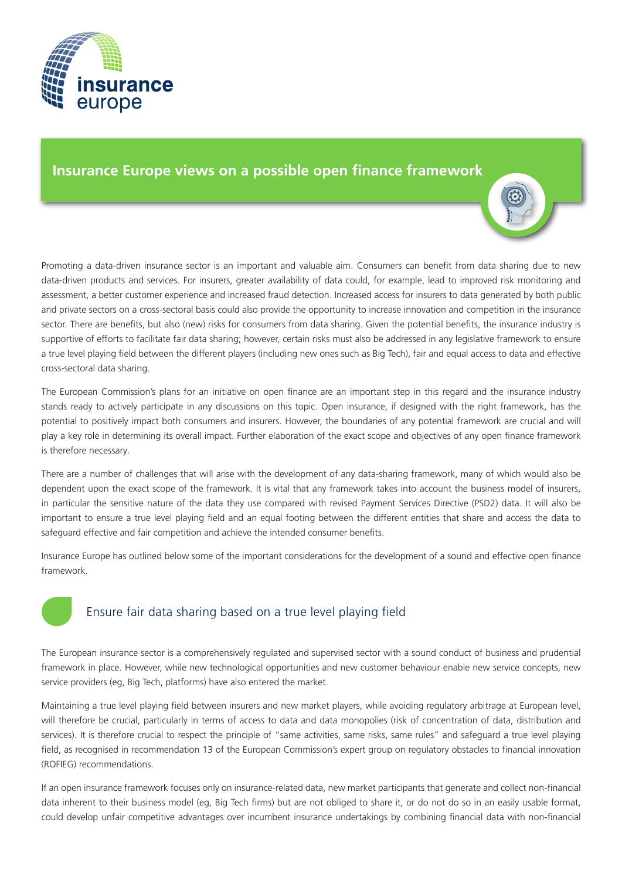

## **Insurance Europe views on a possible open finance framework**

Promoting a data-driven insurance sector is an important and valuable aim. Consumers can benefit from data sharing due to new data-driven products and services. For insurers, greater availability of data could, for example, lead to improved risk monitoring and assessment, a better customer experience and increased fraud detection. Increased access for insurers to data generated by both public and private sectors on a cross-sectoral basis could also provide the opportunity to increase innovation and competition in the insurance sector. There are benefits, but also (new) risks for consumers from data sharing. Given the potential benefits, the insurance industry is supportive of efforts to facilitate fair data sharing; however, certain risks must also be addressed in any legislative framework to ensure a true level playing field between the different players (including new ones such as Big Tech), fair and equal access to data and effective cross-sectoral data sharing.

The European Commission's plans for an initiative on open finance are an important step in this regard and the insurance industry stands ready to actively participate in any discussions on this topic. Open insurance, if designed with the right framework, has the potential to positively impact both consumers and insurers. However, the boundaries of any potential framework are crucial and will play a key role in determining its overall impact. Further elaboration of the exact scope and objectives of any open finance framework is therefore necessary.

There are a number of challenges that will arise with the development of any data-sharing framework, many of which would also be dependent upon the exact scope of the framework. It is vital that any framework takes into account the business model of insurers, in particular the sensitive nature of the data they use compared with revised Payment Services Directive (PSD2) data. It will also be important to ensure a true level playing field and an equal footing between the different entities that share and access the data to safeguard effective and fair competition and achieve the intended consumer benefits.

Insurance Europe has outlined below some of the important considerations for the development of a sound and effective open finance framework.



# Ensure fair data sharing based on a true level playing field

The European insurance sector is a comprehensively regulated and supervised sector with a sound conduct of business and prudential framework in place. However, while new technological opportunities and new customer behaviour enable new service concepts, new service providers (eg, Big Tech, platforms) have also entered the market.

Maintaining a true level playing field between insurers and new market players, while avoiding regulatory arbitrage at European level, will therefore be crucial, particularly in terms of access to data and data monopolies (risk of concentration of data, distribution and services). It is therefore crucial to respect the principle of "same activities, same risks, same rules" and safeguard a true level playing field, as recognised in recommendation 13 of the European Commission's expert group on regulatory obstacles to financial innovation (ROFIEG) recommendations.

If an open insurance framework focuses only on insurance-related data, new market participants that generate and collect non-financial data inherent to their business model (eg, Big Tech firms) but are not obliged to share it, or do not do so in an easily usable format, could develop unfair competitive advantages over incumbent insurance undertakings by combining financial data with non-financial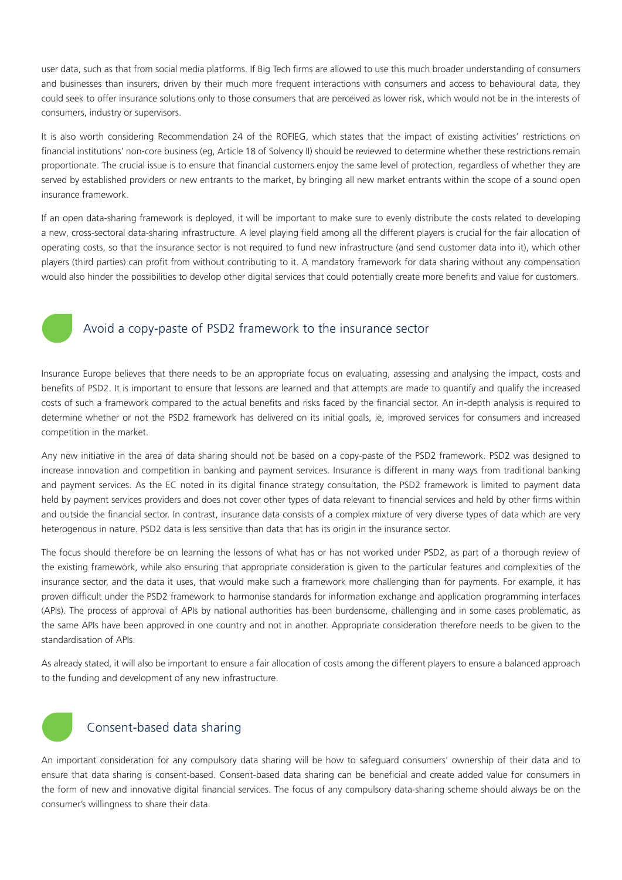user data, such as that from social media platforms. If Big Tech firms are allowed to use this much broader understanding of consumers and businesses than insurers, driven by their much more frequent interactions with consumers and access to behavioural data, they could seek to offer insurance solutions only to those consumers that are perceived as lower risk, which would not be in the interests of consumers, industry or supervisors.

It is also worth considering Recommendation 24 of the ROFIEG, which states that the impact of existing activities' restrictions on financial institutions' non-core business (eg, Article 18 of Solvency II) should be reviewed to determine whether these restrictions remain proportionate. The crucial issue is to ensure that financial customers enjoy the same level of protection, regardless of whether they are served by established providers or new entrants to the market, by bringing all new market entrants within the scope of a sound open insurance framework.

If an open data-sharing framework is deployed, it will be important to make sure to evenly distribute the costs related to developing a new, cross-sectoral data-sharing infrastructure. A level playing field among all the different players is crucial for the fair allocation of operating costs, so that the insurance sector is not required to fund new infrastructure (and send customer data into it), which other players (third parties) can profit from without contributing to it. A mandatory framework for data sharing without any compensation would also hinder the possibilities to develop other digital services that could potentially create more benefits and value for customers.



## Avoid a copy-paste of PSD2 framework to the insurance sector

Insurance Europe believes that there needs to be an appropriate focus on evaluating, assessing and analysing the impact, costs and benefits of PSD2. It is important to ensure that lessons are learned and that attempts are made to quantify and qualify the increased costs of such a framework compared to the actual benefits and risks faced by the financial sector. An in-depth analysis is required to determine whether or not the PSD2 framework has delivered on its initial goals, ie, improved services for consumers and increased competition in the market.

Any new initiative in the area of data sharing should not be based on a copy-paste of the PSD2 framework. PSD2 was designed to increase innovation and competition in banking and payment services. Insurance is different in many ways from traditional banking and payment services. As the EC noted in its digital finance strategy consultation, the PSD2 framework is limited to payment data held by payment services providers and does not cover other types of data relevant to financial services and held by other firms within and outside the financial sector. In contrast, insurance data consists of a complex mixture of very diverse types of data which are very heterogenous in nature. PSD2 data is less sensitive than data that has its origin in the insurance sector.

The focus should therefore be on learning the lessons of what has or has not worked under PSD2, as part of a thorough review of the existing framework, while also ensuring that appropriate consideration is given to the particular features and complexities of the insurance sector, and the data it uses, that would make such a framework more challenging than for payments. For example, it has proven difficult under the PSD2 framework to harmonise standards for information exchange and application programming interfaces (APIs). The process of approval of APIs by national authorities has been burdensome, challenging and in some cases problematic, as the same APIs have been approved in one country and not in another. Appropriate consideration therefore needs to be given to the standardisation of APIs.

As already stated, it will also be important to ensure a fair allocation of costs among the different players to ensure a balanced approach to the funding and development of any new infrastructure.



## Consent-based data sharing

An important consideration for any compulsory data sharing will be how to safeguard consumers' ownership of their data and to ensure that data sharing is consent-based. Consent-based data sharing can be beneficial and create added value for consumers in the form of new and innovative digital financial services. The focus of any compulsory data-sharing scheme should always be on the consumer's willingness to share their data.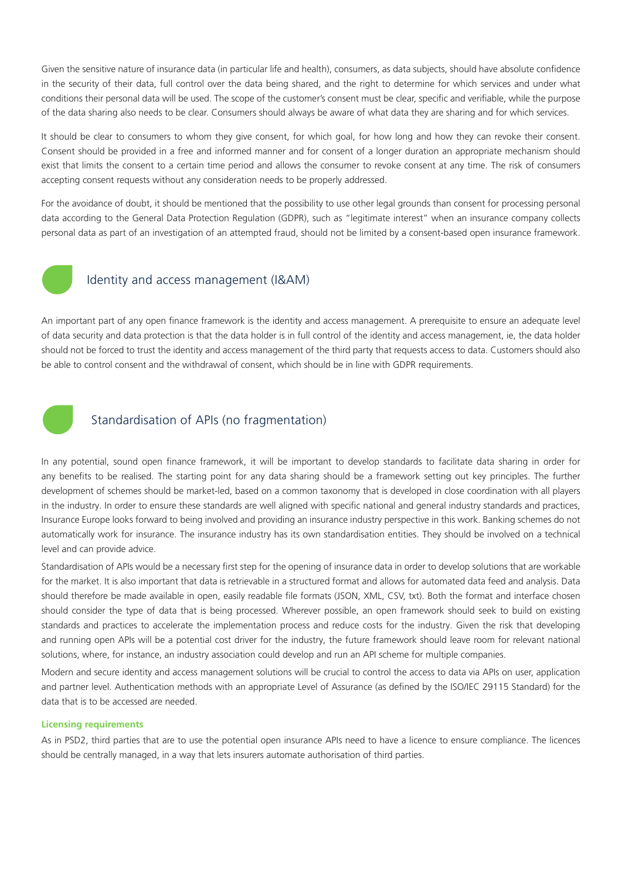Given the sensitive nature of insurance data (in particular life and health), consumers, as data subjects, should have absolute confidence in the security of their data, full control over the data being shared, and the right to determine for which services and under what conditions their personal data will be used. The scope of the customer's consent must be clear, specific and verifiable, while the purpose of the data sharing also needs to be clear. Consumers should always be aware of what data they are sharing and for which services.

It should be clear to consumers to whom they give consent, for which goal, for how long and how they can revoke their consent. Consent should be provided in a free and informed manner and for consent of a longer duration an appropriate mechanism should exist that limits the consent to a certain time period and allows the consumer to revoke consent at any time. The risk of consumers accepting consent requests without any consideration needs to be properly addressed.

For the avoidance of doubt, it should be mentioned that the possibility to use other legal grounds than consent for processing personal data according to the General Data Protection Regulation (GDPR), such as "legitimate interest" when an insurance company collects personal data as part of an investigation of an attempted fraud, should not be limited by a consent-based open insurance framework.



#### Identity and access management (I&AM)

An important part of any open finance framework is the identity and access management. A prerequisite to ensure an adequate level of data security and data protection is that the data holder is in full control of the identity and access management, ie, the data holder should not be forced to trust the identity and access management of the third party that requests access to data. Customers should also be able to control consent and the withdrawal of consent, which should be in line with GDPR requirements.



### Standardisation of APIs (no fragmentation)

In any potential, sound open finance framework, it will be important to develop standards to facilitate data sharing in order for any benefits to be realised. The starting point for any data sharing should be a framework setting out key principles. The further development of schemes should be market-led, based on a common taxonomy that is developed in close coordination with all players in the industry. In order to ensure these standards are well aligned with specific national and general industry standards and practices, Insurance Europe looks forward to being involved and providing an insurance industry perspective in this work. Banking schemes do not automatically work for insurance. The insurance industry has its own standardisation entities. They should be involved on a technical level and can provide advice.

Standardisation of APIs would be a necessary first step for the opening of insurance data in order to develop solutions that are workable for the market. It is also important that data is retrievable in a structured format and allows for automated data feed and analysis. Data should therefore be made available in open, easily readable file formats (JSON, XML, CSV, txt). Both the format and interface chosen should consider the type of data that is being processed. Wherever possible, an open framework should seek to build on existing standards and practices to accelerate the implementation process and reduce costs for the industry. Given the risk that developing and running open APIs will be a potential cost driver for the industry, the future framework should leave room for relevant national solutions, where, for instance, an industry association could develop and run an API scheme for multiple companies.

Modern and secure identity and access management solutions will be crucial to control the access to data via APIs on user, application and partner level. Authentication methods with an appropriate Level of Assurance (as defined by the ISO/IEC 29115 Standard) for the data that is to be accessed are needed.

#### **Licensing requirements**

As in PSD2, third parties that are to use the potential open insurance APIs need to have a licence to ensure compliance. The licences should be centrally managed, in a way that lets insurers automate authorisation of third parties.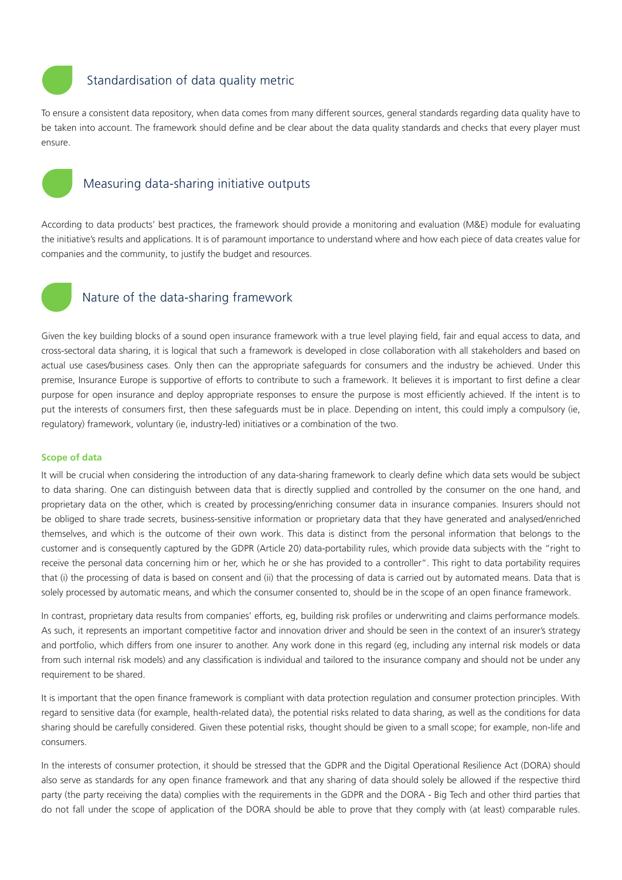

### Standardisation of data quality metric

To ensure a consistent data repository, when data comes from many different sources, general standards regarding data quality have to be taken into account. The framework should define and be clear about the data quality standards and checks that every player must ensure.



#### Measuring data-sharing initiative outputs

According to data products' best practices, the framework should provide a monitoring and evaluation (M&E) module for evaluating the initiative's results and applications. It is of paramount importance to understand where and how each piece of data creates value for companies and the community, to justify the budget and resources.



#### Nature of the data-sharing framework

Given the key building blocks of a sound open insurance framework with a true level playing field, fair and equal access to data, and cross-sectoral data sharing, it is logical that such a framework is developed in close collaboration with all stakeholders and based on actual use cases/business cases. Only then can the appropriate safeguards for consumers and the industry be achieved. Under this premise, Insurance Europe is supportive of efforts to contribute to such a framework. It believes it is important to first define a clear purpose for open insurance and deploy appropriate responses to ensure the purpose is most efficiently achieved. If the intent is to put the interests of consumers first, then these safeguards must be in place. Depending on intent, this could imply a compulsory (ie, regulatory) framework, voluntary (ie, industry-led) initiatives or a combination of the two.

#### **Scope of data**

It will be crucial when considering the introduction of any data-sharing framework to clearly define which data sets would be subject to data sharing. One can distinguish between data that is directly supplied and controlled by the consumer on the one hand, and proprietary data on the other, which is created by processing/enriching consumer data in insurance companies. Insurers should not be obliged to share trade secrets, business-sensitive information or proprietary data that they have generated and analysed/enriched themselves, and which is the outcome of their own work. This data is distinct from the personal information that belongs to the customer and is consequently captured by the GDPR (Article 20) data-portability rules, which provide data subjects with the "right to receive the personal data concerning him or her, which he or she has provided to a controller". This right to data portability requires that (i) the processing of data is based on consent and (ii) that the processing of data is carried out by automated means. Data that is solely processed by automatic means, and which the consumer consented to, should be in the scope of an open finance framework.

In contrast, proprietary data results from companies' efforts, eg, building risk profiles or underwriting and claims performance models. As such, it represents an important competitive factor and innovation driver and should be seen in the context of an insurer's strategy and portfolio, which differs from one insurer to another. Any work done in this regard (eg, including any internal risk models or data from such internal risk models) and any classification is individual and tailored to the insurance company and should not be under any requirement to be shared.

It is important that the open finance framework is compliant with data protection regulation and consumer protection principles. With regard to sensitive data (for example, health-related data), the potential risks related to data sharing, as well as the conditions for data sharing should be carefully considered. Given these potential risks, thought should be given to a small scope; for example, non-life and consumers.

In the interests of consumer protection, it should be stressed that the GDPR and the Digital Operational Resilience Act (DORA) should also serve as standards for any open finance framework and that any sharing of data should solely be allowed if the respective third party (the party receiving the data) complies with the requirements in the GDPR and the DORA - Big Tech and other third parties that do not fall under the scope of application of the DORA should be able to prove that they comply with (at least) comparable rules.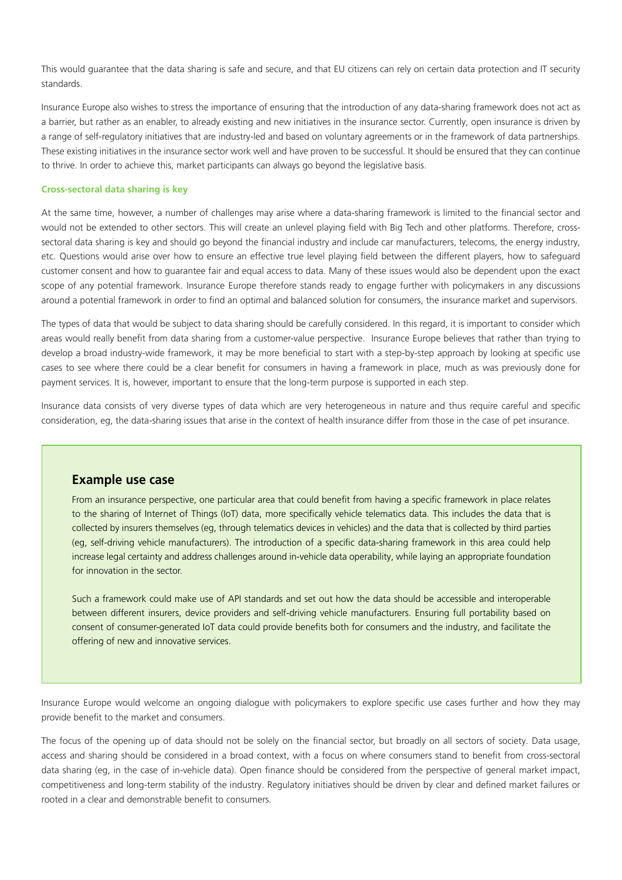This would guarantee that the data sharing is safe and secure, and that EU citizens can rely on certain data protection and IT security standards.

Insurance Europe also wishes to stress the importance of ensuring that the introduction of any data-sharing framework does not act as a barrier, but rather as an enabler, to already existing and new initiatives in the insurance sector. Currently, open insurance is driven by a range of self-regulatory initiatives that are industry-led and based on voluntary agreements or in the framework of data partnerships. These existing initiatives in the insurance sector work well and have proven to be successful. It should be ensured that they can continue to thrive. In order to achieve this, market participants can always go beyond the legislative basis.

#### **Cross-sectoral data sharing is key**

At the same time, however, a number of challenges may arise where a data-sharing framework is limited to the financial sector and would not be extended to other sectors. This will create an unlevel playing field with Big Tech and other platforms. Therefore, crosssectoral data sharing is key and should go beyond the financial industry and include car manufacturers, telecoms, the energy industry, etc. Questions would arise over how to ensure an effective true level playing field between the different players, how to safeguard customer consent and how to guarantee fair and equal access to data. Many of these issues would also be dependent upon the exact scope of any potential framework. Insurance Europe therefore stands ready to engage further with policymakers in any discussions around a potential framework in order to find an optimal and balanced solution for consumers, the insurance market and supervisors.

The types of data that would be subject to data sharing should be carefully considered. In this regard, it is important to consider which areas would really benefit from data sharing from a customer-value perspective. Insurance Europe believes that rather than trying to develop a broad industry-wide framework, it may be more beneficial to start with a step-by-step approach by looking at specific use cases to see where there could be a clear benefit for consumers in having a framework in place, much as was previously done for payment services. It is, however, important to ensure that the long-term purpose is supported in each step.

Insurance data consists of very diverse types of data which are very heterogeneous in nature and thus require careful and specific consideration, eg, the data-sharing issues that arise in the context of health insurance differ from those in the case of pet insurance.

### **Example use case**

From an insurance perspective, one particular area that could benefit from having a specific framework in place relates to the sharing of Internet of Things (IoT) data, more specifically vehicle telematics data. This includes the data that is collected by insurers themselves (eg, through telematics devices in vehicles) and the data that is collected by third parties (eg, self-driving vehicle manufacturers). The introduction of a specific data-sharing framework in this area could help increase legal certainty and address challenges around in-vehicle data operability, while laying an appropriate foundation for innovation in the sector.

Such a framework could make use of API standards and set out how the data should be accessible and interoperable between different insurers, device providers and self-driving vehicle manufacturers. Ensuring full portability based on consent of consumer-generated IoT data could provide benefits both for consumers and the industry, and facilitate the offering of new and innovative services.

Insurance Europe would welcome an ongoing dialogue with policymakers to explore specific use cases further and how they may provide benefit to the market and consumers.

The focus of the opening up of data should not be solely on the financial sector, but broadly on all sectors of society. Data usage, access and sharing should be considered in a broad context, with a focus on where consumers stand to benefit from cross-sectoral data sharing (eg, in the case of in-vehicle data). Open finance should be considered from the perspective of general market impact, competitiveness and long-term stability of the industry. Regulatory initiatives should be driven by clear and defined market failures or rooted in a clear and demonstrable benefit to consumers.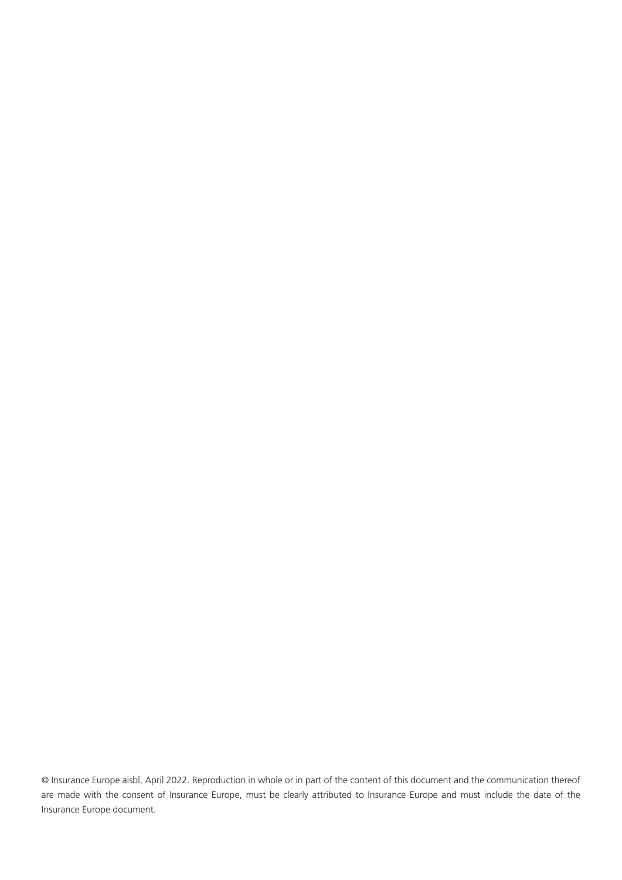© Insurance Europe aisbl, April 2022. Reproduction in whole or in part of the content of this document and the communication thereof are made with the consent of Insurance Europe, must be clearly attributed to Insurance Europe and must include the date of the Insurance Europe document.